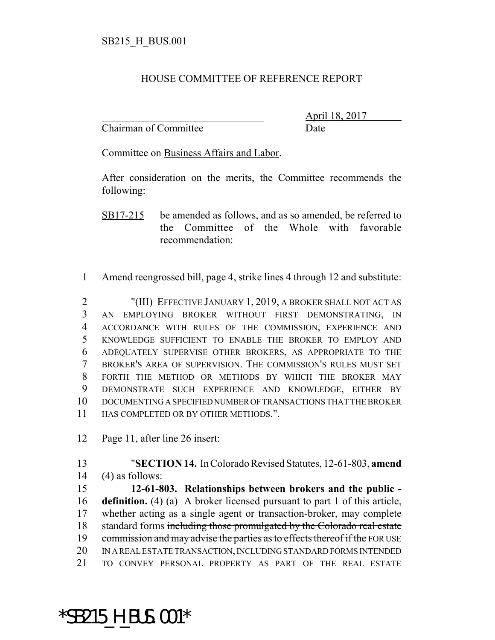## HOUSE COMMITTEE OF REFERENCE REPORT

Chairman of Committee Date

\_\_\_\_\_\_\_\_\_\_\_\_\_\_\_\_\_\_\_\_\_\_\_\_\_\_\_\_\_\_\_ April 18, 2017

Committee on Business Affairs and Labor.

After consideration on the merits, the Committee recommends the following:

SB17-215 be amended as follows, and as so amended, be referred to the Committee of the Whole with favorable recommendation:

1 Amend reengrossed bill, page 4, strike lines 4 through 12 and substitute:

 "(III) EFFECTIVE JANUARY 1, 2019, A BROKER SHALL NOT ACT AS AN EMPLOYING BROKER WITHOUT FIRST DEMONSTRATING, IN ACCORDANCE WITH RULES OF THE COMMISSION, EXPERIENCE AND KNOWLEDGE SUFFICIENT TO ENABLE THE BROKER TO EMPLOY AND ADEQUATELY SUPERVISE OTHER BROKERS, AS APPROPRIATE TO THE BROKER'S AREA OF SUPERVISION. THE COMMISSION'S RULES MUST SET FORTH THE METHOD OR METHODS BY WHICH THE BROKER MAY DEMONSTRATE SUCH EXPERIENCE AND KNOWLEDGE, EITHER BY DOCUMENTING A SPECIFIED NUMBER OF TRANSACTIONS THAT THE BROKER 11 HAS COMPLETED OR BY OTHER METHODS.".

12 Page 11, after line 26 insert:

\*SB215\_H\_BUS.001\*

13 "**SECTION 14.** In Colorado Revised Statutes, 12-61-803, **amend** 14  $(4)$  as follows:

 **12-61-803. Relationships between brokers and the public - definition.** (4) (a) A broker licensed pursuant to part 1 of this article, whether acting as a single agent or transaction-broker, may complete 18 standard forms including those promulgated by the Colorado real estate 19 commission and may advise the parties as to effects thereof if the FOR USE IN A REAL ESTATE TRANSACTION, INCLUDING STANDARD FORMS INTENDED TO CONVEY PERSONAL PROPERTY AS PART OF THE REAL ESTATE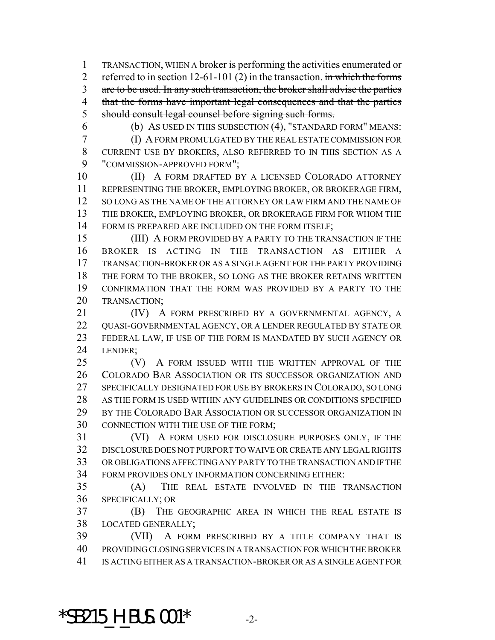TRANSACTION, WHEN A broker is performing the activities enumerated or 2 referred to in section 12-61-101 (2) in the transaction. in which the forms are to be used. In any such transaction, the broker shall advise the parties 4 that the forms have important legal consequences and that the parties should consult legal counsel before signing such forms.

(b) AS USED IN THIS SUBSECTION (4), "STANDARD FORM" MEANS:

 (I) A FORM PROMULGATED BY THE REAL ESTATE COMMISSION FOR CURRENT USE BY BROKERS, ALSO REFERRED TO IN THIS SECTION AS A "COMMISSION-APPROVED FORM";

 (II) A FORM DRAFTED BY A LICENSED COLORADO ATTORNEY REPRESENTING THE BROKER, EMPLOYING BROKER, OR BROKERAGE FIRM, SO LONG AS THE NAME OF THE ATTORNEY OR LAW FIRM AND THE NAME OF THE BROKER, EMPLOYING BROKER, OR BROKERAGE FIRM FOR WHOM THE 14 FORM IS PREPARED ARE INCLUDED ON THE FORM ITSELF;

 (III) A FORM PROVIDED BY A PARTY TO THE TRANSACTION IF THE BROKER IS ACTING IN THE TRANSACTION AS EITHER A TRANSACTION-BROKER OR AS A SINGLE AGENT FOR THE PARTY PROVIDING THE FORM TO THE BROKER, SO LONG AS THE BROKER RETAINS WRITTEN CONFIRMATION THAT THE FORM WAS PROVIDED BY A PARTY TO THE TRANSACTION;

21 (IV) A FORM PRESCRIBED BY A GOVERNMENTAL AGENCY, A QUASI-GOVERNMENTAL AGENCY, OR A LENDER REGULATED BY STATE OR FEDERAL LAW, IF USE OF THE FORM IS MANDATED BY SUCH AGENCY OR LENDER;

 (V) A FORM ISSUED WITH THE WRITTEN APPROVAL OF THE COLORADO BAR ASSOCIATION OR ITS SUCCESSOR ORGANIZATION AND SPECIFICALLY DESIGNATED FOR USE BY BROKERS IN COLORADO, SO LONG AS THE FORM IS USED WITHIN ANY GUIDELINES OR CONDITIONS SPECIFIED BY THE COLORADO BAR ASSOCIATION OR SUCCESSOR ORGANIZATION IN CONNECTION WITH THE USE OF THE FORM;

 (VI) A FORM USED FOR DISCLOSURE PURPOSES ONLY, IF THE DISCLOSURE DOES NOT PURPORT TO WAIVE OR CREATE ANY LEGAL RIGHTS OR OBLIGATIONS AFFECTING ANY PARTY TO THE TRANSACTION AND IF THE FORM PROVIDES ONLY INFORMATION CONCERNING EITHER:

 (A) THE REAL ESTATE INVOLVED IN THE TRANSACTION SPECIFICALLY; OR

 (B) THE GEOGRAPHIC AREA IN WHICH THE REAL ESTATE IS LOCATED GENERALLY;

 (VII) A FORM PRESCRIBED BY A TITLE COMPANY THAT IS PROVIDING CLOSING SERVICES IN A TRANSACTION FOR WHICH THE BROKER IS ACTING EITHER AS A TRANSACTION-BROKER OR AS A SINGLE AGENT FOR

 $*$ SB215 H BUS.001 $*$  -2-